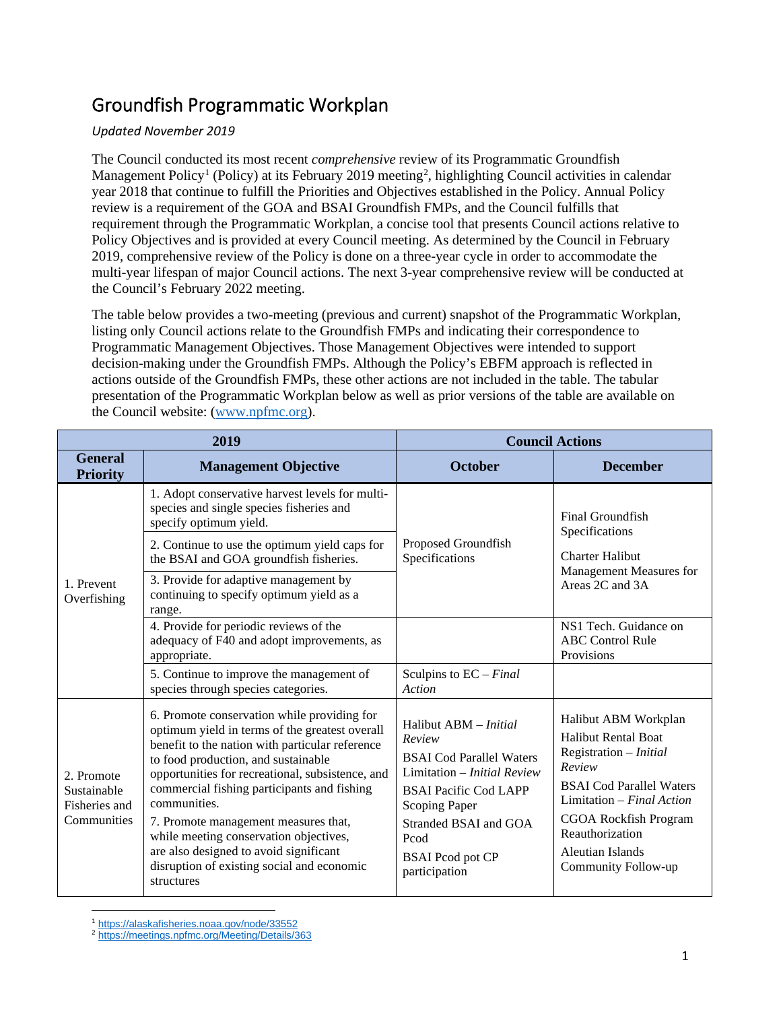## Groundfish Programmatic Workplan

## *Updated November 2019*

The Council conducted its most recent *comprehensive* review of its Programmatic Groundfish Management Policy<sup>[1](#page-0-0)</sup> (Policy) at its February [2](#page-0-1)019 meeting<sup>2</sup>, highlighting Council activities in calendar year 2018 that continue to fulfill the Priorities and Objectives established in the Policy. Annual Policy review is a requirement of the GOA and BSAI Groundfish FMPs, and the Council fulfills that requirement through the Programmatic Workplan, a concise tool that presents Council actions relative to Policy Objectives and is provided at every Council meeting. As determined by the Council in February 2019, comprehensive review of the Policy is done on a three-year cycle in order to accommodate the multi-year lifespan of major Council actions. The next 3-year comprehensive review will be conducted at the Council's February 2022 meeting.

The table below provides a two-meeting (previous and current) snapshot of the Programmatic Workplan, listing only Council actions relate to the Groundfish FMPs and indicating their correspondence to Programmatic Management Objectives. Those Management Objectives were intended to support decision-making under the Groundfish FMPs. Although the Policy's EBFM approach is reflected in actions outside of the Groundfish FMPs, these other actions are not included in the table. The tabular presentation of the Programmatic Workplan below as well as prior versions of the table are available on the Council website: [\(www.npfmc.org\)](http://www.npfmc.org/).

| 2019                                                      |                                                                                                                                                                                                                                                                                                                                                                                                                                                                                                    | <b>Council Actions</b>                                                                                                                                                                                                                        |                                                                                                                                                                                                                                                      |
|-----------------------------------------------------------|----------------------------------------------------------------------------------------------------------------------------------------------------------------------------------------------------------------------------------------------------------------------------------------------------------------------------------------------------------------------------------------------------------------------------------------------------------------------------------------------------|-----------------------------------------------------------------------------------------------------------------------------------------------------------------------------------------------------------------------------------------------|------------------------------------------------------------------------------------------------------------------------------------------------------------------------------------------------------------------------------------------------------|
| <b>General</b><br><b>Priority</b>                         | <b>Management Objective</b>                                                                                                                                                                                                                                                                                                                                                                                                                                                                        | <b>October</b>                                                                                                                                                                                                                                | <b>December</b>                                                                                                                                                                                                                                      |
| 1. Prevent<br>Overfishing                                 | 1. Adopt conservative harvest levels for multi-<br>species and single species fisheries and<br>specify optimum yield.                                                                                                                                                                                                                                                                                                                                                                              | Proposed Groundfish<br>Specifications                                                                                                                                                                                                         | Final Groundfish<br>Specifications<br><b>Charter Halibut</b><br>Management Measures for<br>Areas 2C and 3A                                                                                                                                           |
|                                                           | 2. Continue to use the optimum yield caps for<br>the BSAI and GOA groundfish fisheries.                                                                                                                                                                                                                                                                                                                                                                                                            |                                                                                                                                                                                                                                               |                                                                                                                                                                                                                                                      |
|                                                           | 3. Provide for adaptive management by<br>continuing to specify optimum yield as a<br>range.                                                                                                                                                                                                                                                                                                                                                                                                        |                                                                                                                                                                                                                                               |                                                                                                                                                                                                                                                      |
|                                                           | 4. Provide for periodic reviews of the<br>adequacy of F40 and adopt improvements, as<br>appropriate.                                                                                                                                                                                                                                                                                                                                                                                               |                                                                                                                                                                                                                                               | NS1 Tech. Guidance on<br><b>ABC</b> Control Rule<br>Provisions                                                                                                                                                                                       |
|                                                           | 5. Continue to improve the management of<br>species through species categories.                                                                                                                                                                                                                                                                                                                                                                                                                    | Sculpins to $EC$ – <i>Final</i><br>Action                                                                                                                                                                                                     |                                                                                                                                                                                                                                                      |
| 2. Promote<br>Sustainable<br>Fisheries and<br>Communities | 6. Promote conservation while providing for<br>optimum yield in terms of the greatest overall<br>benefit to the nation with particular reference<br>to food production, and sustainable<br>opportunities for recreational, subsistence, and<br>commercial fishing participants and fishing<br>communities.<br>7. Promote management measures that,<br>while meeting conservation objectives,<br>are also designed to avoid significant<br>disruption of existing social and economic<br>structures | Halibut ABM - <i>Initial</i><br>Review<br><b>BSAI</b> Cod Parallel Waters<br>Limitation - Initial Review<br><b>BSAI Pacific Cod LAPP</b><br><b>Scoping Paper</b><br>Stranded BSAI and GOA<br>Pcod<br><b>BSAI</b> Pcod pot CP<br>participation | Halibut ABM Workplan<br><b>Halibut Rental Boat</b><br>Registration - Initial<br>Review<br><b>BSAI</b> Cod Parallel Waters<br>Limitation – Final Action<br><b>CGOA Rockfish Program</b><br>Reauthorization<br>Aleutian Islands<br>Community Follow-up |

<sup>1</sup> <https://alaskafisheries.noaa.gov/node/33552>

<span id="page-0-1"></span><span id="page-0-0"></span><sup>2</sup> <https://meetings.npfmc.org/Meeting/Details/363>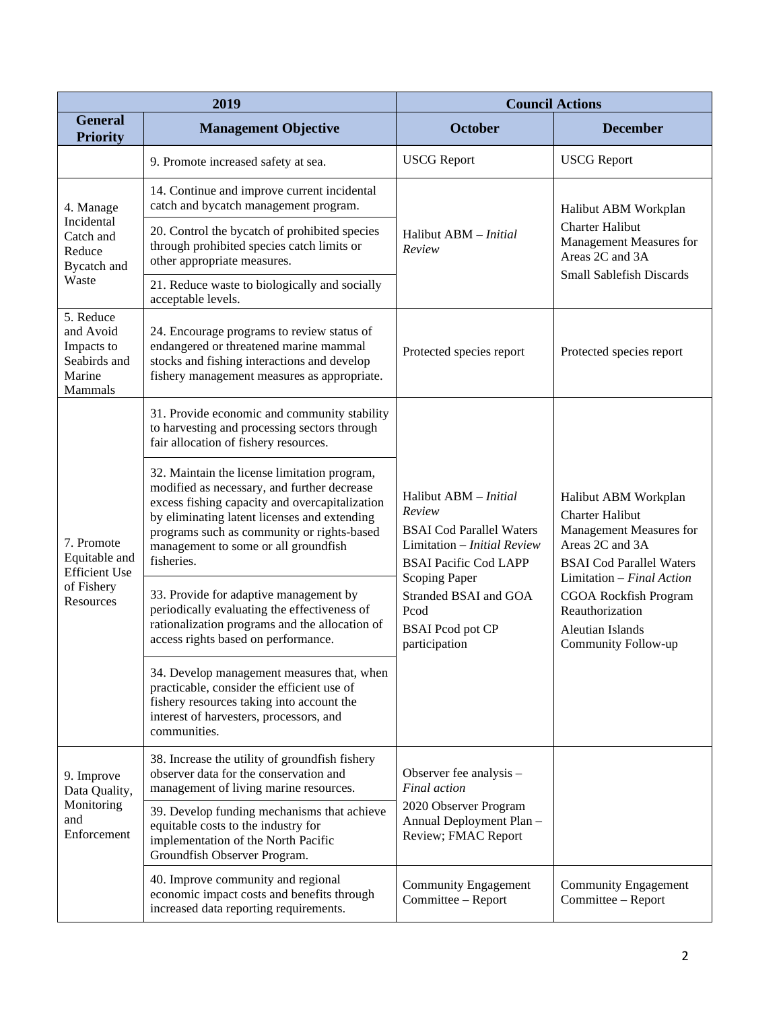| 2019                                                                           |                                                                                                                                                                                                                                                                                                   | <b>Council Actions</b>                                                                                                                                                                                                                        |                                                                                                                                                                                                                                                       |
|--------------------------------------------------------------------------------|---------------------------------------------------------------------------------------------------------------------------------------------------------------------------------------------------------------------------------------------------------------------------------------------------|-----------------------------------------------------------------------------------------------------------------------------------------------------------------------------------------------------------------------------------------------|-------------------------------------------------------------------------------------------------------------------------------------------------------------------------------------------------------------------------------------------------------|
| <b>General</b><br><b>Priority</b>                                              | <b>Management Objective</b>                                                                                                                                                                                                                                                                       | <b>October</b>                                                                                                                                                                                                                                | <b>December</b>                                                                                                                                                                                                                                       |
|                                                                                | 9. Promote increased safety at sea.                                                                                                                                                                                                                                                               | <b>USCG</b> Report                                                                                                                                                                                                                            | <b>USCG</b> Report                                                                                                                                                                                                                                    |
| 4. Manage<br>Incidental<br>Catch and<br>Reduce<br>Bycatch and<br>Waste         | 14. Continue and improve current incidental<br>catch and bycatch management program.                                                                                                                                                                                                              | Halibut ABM - Initial<br>Review                                                                                                                                                                                                               | Halibut ABM Workplan<br><b>Charter Halibut</b><br>Management Measures for<br>Areas 2C and 3A<br><b>Small Sablefish Discards</b>                                                                                                                       |
|                                                                                | 20. Control the bycatch of prohibited species<br>through prohibited species catch limits or<br>other appropriate measures.                                                                                                                                                                        |                                                                                                                                                                                                                                               |                                                                                                                                                                                                                                                       |
|                                                                                | 21. Reduce waste to biologically and socially<br>acceptable levels.                                                                                                                                                                                                                               |                                                                                                                                                                                                                                               |                                                                                                                                                                                                                                                       |
| 5. Reduce<br>and Avoid<br>Impacts to<br>Seabirds and<br>Marine<br>Mammals      | 24. Encourage programs to review status of<br>endangered or threatened marine mammal<br>stocks and fishing interactions and develop<br>fishery management measures as appropriate.                                                                                                                | Protected species report                                                                                                                                                                                                                      | Protected species report                                                                                                                                                                                                                              |
| 7. Promote<br>Equitable and<br><b>Efficient Use</b><br>of Fishery<br>Resources | 31. Provide economic and community stability<br>to harvesting and processing sectors through<br>fair allocation of fishery resources.                                                                                                                                                             | Halibut ABM - Initial<br>Review<br><b>BSAI</b> Cod Parallel Waters<br>Limitation - <i>Initial Review</i><br><b>BSAI Pacific Cod LAPP</b><br><b>Scoping Paper</b><br>Stranded BSAI and GOA<br>Pcod<br><b>BSAI</b> Pcod pot CP<br>participation | Halibut ABM Workplan<br><b>Charter Halibut</b><br>Management Measures for<br>Areas 2C and 3A<br><b>BSAI</b> Cod Parallel Waters<br>Limitation $-$ Final Action<br>CGOA Rockfish Program<br>Reauthorization<br>Aleutian Islands<br>Community Follow-up |
|                                                                                | 32. Maintain the license limitation program,<br>modified as necessary, and further decrease<br>excess fishing capacity and overcapitalization<br>by eliminating latent licenses and extending<br>programs such as community or rights-based<br>management to some or all groundfish<br>fisheries. |                                                                                                                                                                                                                                               |                                                                                                                                                                                                                                                       |
|                                                                                | 33. Provide for adaptive management by<br>periodically evaluating the effectiveness of<br>rationalization programs and the allocation of<br>access rights based on performance.                                                                                                                   |                                                                                                                                                                                                                                               |                                                                                                                                                                                                                                                       |
|                                                                                | 34. Develop management measures that, when<br>practicable, consider the efficient use of<br>fishery resources taking into account the<br>interest of harvesters, processors, and<br>communities.                                                                                                  |                                                                                                                                                                                                                                               |                                                                                                                                                                                                                                                       |
| 9. Improve<br>Data Quality,<br>Monitoring<br>and<br>Enforcement                | 38. Increase the utility of groundfish fishery<br>observer data for the conservation and<br>management of living marine resources.                                                                                                                                                                | Observer fee analysis -<br><b>Final</b> action<br>2020 Observer Program<br>Annual Deployment Plan -<br>Review; FMAC Report                                                                                                                    |                                                                                                                                                                                                                                                       |
|                                                                                | 39. Develop funding mechanisms that achieve<br>equitable costs to the industry for<br>implementation of the North Pacific<br>Groundfish Observer Program.                                                                                                                                         |                                                                                                                                                                                                                                               |                                                                                                                                                                                                                                                       |
|                                                                                | 40. Improve community and regional<br>economic impact costs and benefits through<br>increased data reporting requirements.                                                                                                                                                                        | <b>Community Engagement</b><br>Committee - Report                                                                                                                                                                                             | <b>Community Engagement</b><br>Committee - Report                                                                                                                                                                                                     |